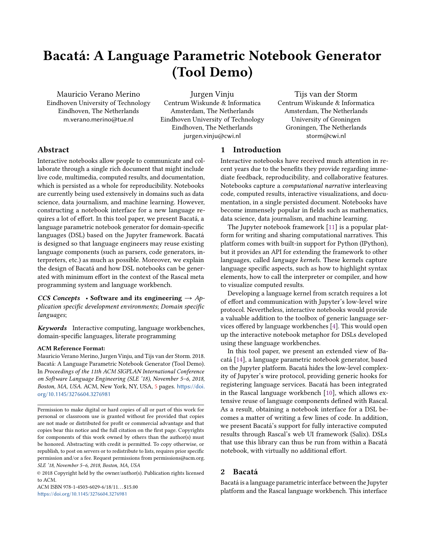# Bacatá: A Language Parametric Notebook Generator (Tool Demo)

Mauricio Verano Merino Eindhoven University of Technology Eindhoven, The Netherlands m.verano.merino@tue.nl

Jurgen Vinju

Centrum Wiskunde & Informatica Amsterdam, The Netherlands Eindhoven University of Technology Eindhoven, The Netherlands jurgen.vinju@cwi.nl

Tijs van der Storm Centrum Wiskunde & Informatica Amsterdam, The Netherlands University of Groningen Groningen, The Netherlands storm@cwi.nl

## Abstract

Interactive notebooks allow people to communicate and collaborate through a single rich document that might include live code, multimedia, computed results, and documentation, which is persisted as a whole for reproducibility. Notebooks are currently being used extensively in domains such as data science, data journalism, and machine learning. However, constructing a notebook interface for a new language requires a lot of effort. In this tool paper, we present Bacatá, a language parametric notebook generator for domain-specific languages (DSL) based on the Jupyter framework. Bacatá is designed so that language engineers may reuse existing language components (such as parsers, code generators, interpreters, etc.) as much as possible. Moreover, we explain the design of Bacatá and how DSL notebooks can be generated with minimum effort in the context of the Rascal meta programming system and language workbench.

CCS Concepts • Software and its engineering  $\rightarrow$  Application specific development environments; Domain specific languages;

Keywords Interactive computing, language workbenches, domain-specific languages, literate programming

#### ACM Reference Format:

Mauricio Verano Merino, Jurgen Vinju, and Tijs van der Storm. 2018. Bacatá: A Language Parametric Notebook Generator (Tool Demo). In Proceedings of the 11th ACM SIGPLAN International Conference on Software Language Engineering (SLE '18), November 5–6, 2018, Boston, MA, USA. ACM, New York, NY, USA, [5](#page-4-0) pages. https://doi. [org/10.1145/3276604.3276981](https://doi.org/10.1145/3276604.3276981)

© 2018 Copyright held by the owner/author(s). Publication rights licensed to ACM.

ACM ISBN 978-1-4503-6029-6/18/11... \$15.00 https://doi.org/10.1145/3276604.3276981

## **Introduction**

Interactive notebooks have received much attention in recent years due to the benefits they provide regarding immediate feedback, reproducibility, and collaborative features. Notebooks capture a computational narrative interleaving code, computed results, interactive visualizations, and documentation, in a single persisted document. Notebooks have become immensely popular in fields such as mathematics, data science, data journalism, and machine learning.

The Jupyter notebook framework [\[11\]](#page-4-1) is a popular platform for writing and sharing computational narratives. This platform comes with built-in support for Python (IPython), but it provides an API for extending the framework to other languages, called language kernels. These kernels capture language specific aspects, such as how to highlight syntax elements, how to call the interpreter or compiler, and how to visualize computed results.

Developing a language kernel from scratch requires a lot of effort and communication with Jupyter's low-level wire protocol. Nevertheless, interactive notebooks would provide a valuable addition to the toolbox of generic language ser-vices offered by language workbenches [\[4\]](#page-4-2). This would open up the interactive notebook metaphor for DSLs developed using these language workbenches.

In this tool paper, we present an extended view of Bacatá [\[14\]](#page-4-3), a language parametric notebook generator, based on the Jupyter platform. Bacatá hides the low-level complexity of Jupyter's wire protocol, providing generic hooks for registering language services. Bacatá has been integrated in the Rascal language workbench [\[10\]](#page-4-4), which allows extensive reuse of language components defined with Rascal. As a result, obtaining a notebook interface for a DSL becomes a matter of writing a few lines of code. In addition, we present Bacatá's support for fully interactive computed results through Rascal's web UI framework (Salix). DSLs that use this library can thus be run from within a Bacatá notebook, with virtually no additional effort.

## 2 Bacatá

Bacatá is a language parametric interface between the Jupyter platform and the Rascal language workbench. This interface

Permission to make digital or hard copies of all or part of this work for personal or classroom use is granted without fee provided that copies are not made or distributed for profit or commercial advantage and that copies bear this notice and the full citation on the first page. Copyrights for components of this work owned by others than the author(s) must be honored. Abstracting with credit is permitted. To copy otherwise, or republish, to post on servers or to redistribute to lists, requires prior specific permission and/or a fee. Request permissions from permissions@acm.org. SLE '18, November 5–6, 2018, Boston, MA, USA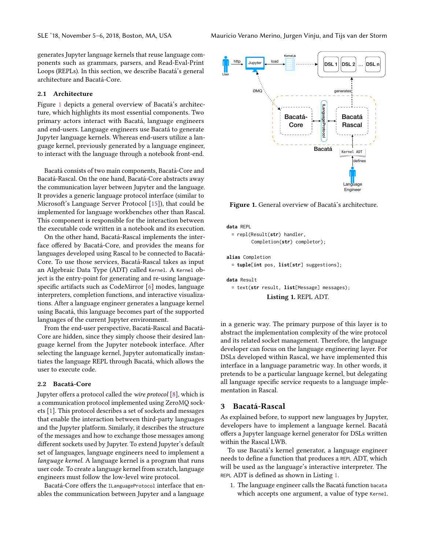generates Jupyter language kernels that reuse language components such as grammars, parsers, and Read-Eval-Print Loops (REPLs). In this section, we describe Bacatá's general architecture and Bacatá-Core.

#### 2.1 Architecture

Figure [1](#page-1-0) depicts a general overview of Bacatá's architecture, which highlights its most essential components. Two primary actors interact with Bacatá, language engineers and end-users. Language engineers use Bacatá to generate Jupyter language kernels. Whereas end-users utilize a language kernel, previously generated by a language engineer, to interact with the language through a notebook front-end.

Bacatá consists of two main components, Bacatá-Core and Bacatá-Rascal. On the one hand, Bacatá-Core abstracts away the communication layer between Jupyter and the language. It provides a generic language protocol interface (similar to Microsoft's Language Server Protocol [\[15\]](#page-4-5)), that could be implemented for language workbenches other than Rascal. This component is responsible for the interaction between the executable code written in a notebook and its execution.

On the other hand, Bacatá-Rascal implements the interface offered by Bacatá-Core, and provides the means for languages developed using Rascal to be connected to Bacatá-Core. To use those services, Bacatá-Rascal takes as input an Algebraic Data Type (ADT) called Kernel. A Kernel object is the entry-point for generating and re-using languagespecific artifacts such as CodeMirror  $[6]$  modes, language interpreters, completion functions, and interactive visualizations. After a language engineer generates a language kernel using Bacatá, this language becomes part of the supported languages of the current Jupyter environment.

From the end-user perspective, Bacatá-Rascal and Bacatá-Core are hidden, since they simply choose their desired language kernel from the Jupyter notebook interface. After selecting the language kernel, Jupyter automatically instantiates the language REPL through Bacatá, which allows the user to execute code.

#### 2.2 Bacatá-Core

Jupyter offers a protocol called the wire protocol [\[8\]](#page-4-7), which is a communication protocol implemented using ZeroMQ sockets [\[1\]](#page-4-8). This protocol describes a set of sockets and messages that enable the interaction between third-party languages and the Jupyter platform. Similarly, it describes the structure of the messages and how to exchange those messages among different sockets used by Jupyter. To extend Jupyter's default set of languages, language engineers need to implement a language kernel. A language kernel is a program that runs user code. To create a language kernel from scratch, language engineers must follow the low-level wire protocol.

Bacatá-Core offers the ILanguageProtocol interface that enables the communication between Jupyter and a language

<span id="page-1-0"></span>

Figure 1. General overview of Bacatá's architecture.

```
data REPL
 = repl(Result(str) handler,
        Completion(str) completor);
alias Completion
 = tuple[int pos, list[str] suggestions];
data Result
 = text(str result, list[Message] messages);
              Listing 1. REPL ADT.
```
in a generic way. The primary purpose of this layer is to abstract the implementation complexity of the wire protocol and its related socket management. Therefore, the language developer can focus on the language engineering layer. For DSLs developed within Rascal, we have implemented this interface in a language parametric way. In other words, it pretends to be a particular language kernel, but delegating all language specific service requests to a language implementation in Rascal.

### 3 Bacatá-Rascal

As explained before, to support new languages by Jupyter, developers have to implement a language kernel. Bacatá offers a Jupyter language kernel generator for DSLs written within the Rascal LWB.

To use Bacatá's kernel generator, a language engineer needs to define a function that produces a REPL ADT, which will be used as the language's interactive interpreter. The REPL ADT is defined as shown in Listing [1.](#page-1-1)

1. The language engineer calls the Bacatá function bacata which accepts one argument, a value of type Kernel.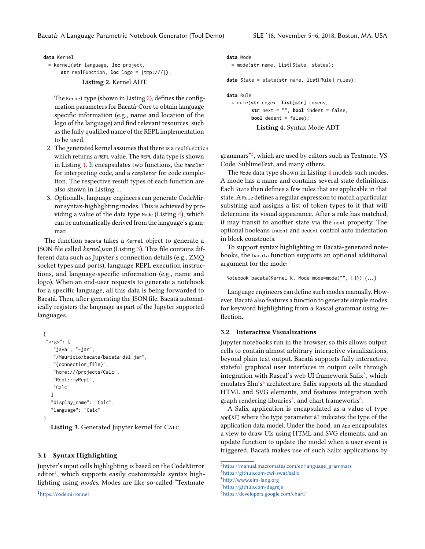<span id="page-2-0"></span>**data** Kernel

```
= kernel(str language, loc project,
    str replFunction, loc logo = |tmp:///|);
            Listing 2. Kernel ADT.
```
The Kernel type (shown in Listing [2\)](#page-2-0), defines the configuration parameters for Bacatá-Core to obtain language specific information (e.g., name and location of the logo of the language) and find relevant resources, such as the fully qualified name of the REPL implementation to be used.

- 2. The generated kernel assumes that there is a replFunction which returns a REPL value. The REPL data type is shown in Listing [1.](#page-1-1) It encapsulates two functions, the handler for interpreting code, and a completor for code completion. The respective result types of each function are also shown in Listing [1.](#page-1-1)
- 3. Optionally, language engineers can generate CodeMirror syntax-highlighting modes. This is achieved by providing a value of the data type Mode (Listing [4\)](#page-2-1), which can be automatically derived from the language's grammar.

The function bacata takes a Kernel object to generate a JSON file called *kernel.json* (Listing [3\)](#page-2-2). This file contains different data such as Jupyter's connection details (e.g., ZMQ socket types and ports), language REPL execution instructions, and language-specific information (e.g., name and logo). When an end-user requests to generate a notebook for a specific language, all this data is being forwarded to Bacatá. Then, after generating the JSON file, Bacatá automatically registers the language as part of the Jupyter supported languages.

```
{
 "argv": [
   "java", "-jar",
   "/Mauricio/bacata/bacata-dsl.jar",
   "{connection_file}",
   "home:///projects/Calc",
   "Repl::myRepl",
   "Calc"
   ],
   "display_name": "Calc",
   "language": "Calc"
}
```
Listing 3. Generated Jupyter kernel for Calc

### 3.1 Syntax Highlighting

Jupyter's input cells highlighting is based on the CodeMirror  $\det^{-1}$  $\det^{-1}$  $\det^{-1}$ , which supports easily customizable syntax highlighting using modes. Modes are like so-called "Textmate

```
<sup>1</sup>https://codemirror.net
```

```
data Mode
 = mode(str name, list[State] states);
data State = state(str name, list[Rule] rules);
data Rule
 = rule(str regex, list[str] tokens,
         str next = "", bool indent = false,
         bool dedent = false);
```

```
Listing 4. Syntax Mode ADT
```
grammars"[2](#page-2-4) , which are used by editors such as Textmate, VS Code, SublimeText, and many others.

The Mode data type shown in Listing [4](#page-2-1) models such modes. A mode has a name and contains several state definitions. Each state then defines a few rules that are applicable in that state. A Rule defines a regular expression to match a particular substring and assigns a list of token types to it that will determine its visual appearance. After a rule has matched, it may transit to another state via the next property. The optional booleans indent and dedent control auto indentation in block constructs.

To support syntax highlighting in Bacatá-generated notebooks, the bacata function supports an optional additional argument for the mode:

Notebook bacata(Kernel k, Mode mode=mode("", [])) {...}

Language engineers can define such modes manually. However, Bacatá also features a function to generate simple modes for keyword highlighting from a Rascal grammar using re flection.

## 3.2 Interactive Visualizations

Jupyter notebooks run in the browser, so this allows output cells to contain almost arbitrary interactive visualizations, beyond plain text output. Bacatá supports fully interactive, stateful graphical user interfaces in output cells through integration with Rascal's web UI framework Salix<sup>[3](#page-2-5)</sup>, which emulates Elm's<sup>[4](#page-2-6)</sup> architecture. Salix supports all the standard HTML and SVG elements, and features integration with graph rendering libraries<sup>[5](#page-2-7)</sup>, and chart frameworks<sup>[6](#page-2-8)</sup>.

A Salix application is encapsulated as a value of type App[&T] where the type parameter &T indicates the type of the application data model. Under the hood, an App encapsulates a view to draw UIs using HTML and SVG elements, and an update function to update the model when a user event is triggered. Bacatá makes use of such Salix applications by

<span id="page-2-4"></span> $2$ https://manual.macromates.com/en/language\_grammars

<span id="page-2-5"></span> $3$ https://github.com/cwi-swat/salix

<span id="page-2-6"></span><sup>4</sup>[hp://www.elm-lang.org](http://www.elm-lang.org)

<span id="page-2-7"></span> $5$ https://github.com/dagrejs

<span id="page-2-8"></span> $6$ https://developers.google.com/chart/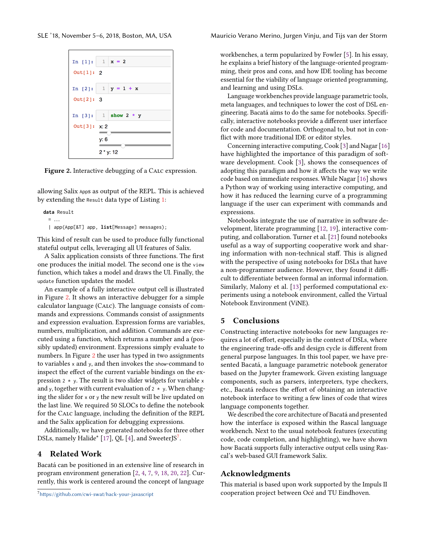

Figure 2. Interactive debugging of a CALC expression.

allowing Salix Apps as output of the REPL. This is achieved by extending the Result data type of Listing [1:](#page-1-1)

**data** Result

 $=$  ...

| app(App[&T] app, **list**[Message] messages);

This kind of result can be used to produce fully functional stateful output cells, leveraging all UI features of Salix.

A Salix application consists of three functions. The first one produces the initial model. The second one is the view function, which takes a model and draws the UI. Finally, the update function updates the model.

An example of a fully interactive output cell is illustrated in Figure [2.](#page-3-0) It shows an interactive debugger for a simple calculator language (Calc). The language consists of commands and expressions. Commands consist of assignments and expression evaluation. Expression forms are variables, numbers, multiplication, and addition. Commands are executed using a function, which returns a number and a (possibly updated) environment. Expressions simply evaluate to numbers. In Figure [2](#page-3-0) the user has typed in two assignments to variables <sup>x</sup> and <sup>y</sup>, and then invokes the show-command to inspect the effect of the current variable bindings on the expression  $2 \times y$ . The result is two slider widgets for variable x and y, together with current evaluation of  $2 * y$ . When changing the slider for <sup>x</sup> or <sup>y</sup> the new result will be live updated on the last line. We required 50 SLOCs to define the notebook for the CALC language, including the definition of the REPL and the Salix application for debugging expressions.

Additionally, we have generated notebooks for three other DSLs, namely Halide\* [\[17\]](#page-4-9), OL [\[4\]](#page-4-2), and Sweeter  $S^7$  $S^7$ .

## 4 Related Work

Bacatá can be positioned in an extensive line of research in program environment generation [\[2,](#page-4-10) [4,](#page-4-2) [7,](#page-4-11) [9,](#page-4-12) [18,](#page-4-13) [20,](#page-4-14) [22\]](#page-4-15). Currently, this work is centered around the concept of language

<span id="page-3-0"></span>SLE '18, November 5–6, 2018, Boston, MA, USA Mauricio Verano Merino, Jurgen Vinju, and Tijs van der Storm

workbenches, a term popularized by Fowler [\[5\]](#page-4-16). In his essay, he explains a brief history of the language-oriented programming, their pros and cons, and how IDE tooling has become essential for the viability of language oriented programming, and learning and using DSLs.

Language workbenches provide language parametric tools, meta languages, and techniques to lower the cost of DSL engineering. Bacatá aims to do the same for notebooks. Specifically, interactive notebooks provide a different user interface for code and documentation. Orthogonal to, but not in con flict with more traditional IDE or editor styles.

Concerning interactive computing, Cook [\[3\]](#page-4-17) and Nagar [\[16\]](#page-4-18) have highlighted the importance of this paradigm of software development. Cook [\[3\]](#page-4-17), shows the consequences of adopting this paradigm and how it affects the way we write code based on immediate responses. While Nagar [\[16\]](#page-4-18) shows a Python way of working using interactive computing, and how it has reduced the learning curve of a programming language if the user can experiment with commands and expressions.

Notebooks integrate the use of narrative in software development, literate programming [\[12,](#page-4-19) [19\]](#page-4-20), interactive computing, and collaboration. Turner et al. [\[21\]](#page-4-21) found notebooks useful as a way of supporting cooperative work and sharing information with non-technical staff. This is aligned with the perspective of using notebooks for DSLs that have a non-programmer audience. However, they found it difficult to differentiate between formal an informal information. Similarly, Malony et al. [\[13\]](#page-4-22) performed computational experiments using a notebook environment, called the Virtual Notebook Environment (ViNE).

### 5 Conclusions

Constructing interactive notebooks for new languages requires a lot of effort, especially in the context of DSLs, where the engineering trade-offs and design cycle is different from general purpose languages. In this tool paper, we have presented Bacatá, a language parametric notebook generator based on the Jupyter framework. Given existing language components, such as parsers, interpreters, type checkers, etc., Bacatá reduces the effort of obtaining an interactive notebook interface to writing a few lines of code that wires language components together.

We described the core architecture of Bacatá and presented how the interface is exposed within the Rascal language workbench. Next to the usual notebook features (executing code, code completion, and highlighting), we have shown how Bacatá supports fully interactive output cells using Rascal's web-based GUI framework Salix.

## Acknowledgments

This material is based upon work supported by the Impuls II cooperation project between Océ and TU Eindhoven.

<span id="page-3-1"></span> $7$ https://github.com/cwi-swat/hack-your-javascript